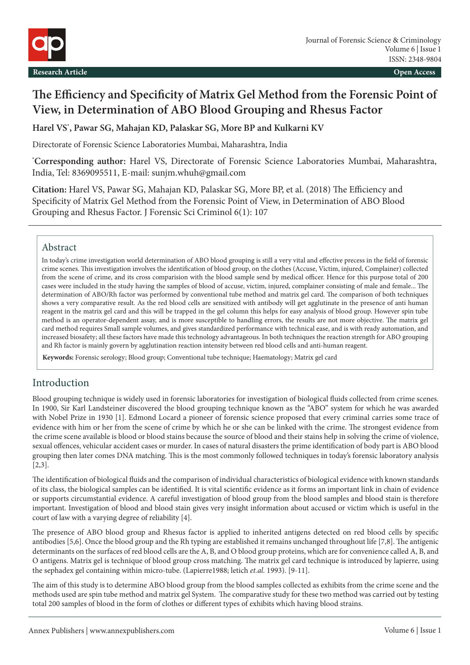

## **The Efficiency and Specificity of Matrix Gel Method from the Forensic Point of View, in Determination of ABO Blood Grouping and Rhesus Factor**

**Harel VS\* , Pawar SG, Mahajan KD, Palaskar SG, More BP and Kulkarni KV**

Directorate of Forensic Science Laboratories Mumbai, Maharashtra, India

**\* Corresponding author:** Harel VS, Directorate of Forensic Science Laboratories Mumbai, Maharashtra, India, Tel: 8369095511, E-mail: sunjm.whuh@gmail.com

**Citation:** Harel VS, Pawar SG, Mahajan KD, Palaskar SG, More BP, et al. (2018) The Efficiency and Specificity of Matrix Gel Method from the Forensic Point of View, in Determination of ABO Blood Grouping and Rhesus Factor. J Forensic Sci Criminol 6(1): 107

## Abstract

In today's crime investigation world determination of ABO blood grouping is still a very vital and effective precess in the field of forensic crime scenes. This investigation involves the identification of blood group, on the clothes (Accuse, Victim, injured, Complainer) collected from the scene of crime, and its cross comparision with the blood sample send by medical officer. Hence for this purpose total of 200 cases were included in the study having the samples of blood of accuse, victim, injured, complainer consisting of male and female... The determination of ABO/Rh factor was performed by conventional tube method and matrix gel card. The comparison of both techniques shows a very comparative result. As the red blood cells are sensitized with antibody will get agglutinate in the presence of anti human reagent in the matrix gel card and this will be trapped in the gel column this helps for easy analysis of blood group. However spin tube method is an operator-dependent assay, and is more susceptible to handling errors, the results are not more objective. The matrix gel card method requires Small sample volumes, and gives standardized performance with technical ease, and is with ready automation, and increased biosafety; all these factors have made this technology advantageous. In both techniques the reaction strength for ABO grouping and Rh factor is mainly govern by agglutination reaction intensity between red blood cells and anti-human reagent.

**Keywords:** Forensic serology; Blood group; Conventional tube technique; Haematology; Matrix gel card

## Introduction

Blood grouping technique is widely used in forensic laboratories for investigation of biological fluids collected from crime scenes. In 1900, Sir Karl Landsteiner discovered the blood grouping technique known as the "ABO" system for which he was awarded with Nobel Prize in 1930 [1]. Edmond Locard a pioneer of forensic science proposed that every criminal carries some trace of evidence with him or her from the scene of crime by which he or she can be linked with the crime. The strongest evidence from the crime scene available is blood or blood stains because the source of blood and their stains help in solving the crime of violence, sexual offences, vehicular accident cases or murder. In cases of natural disasters the prime identification of body part is ABO blood grouping then later comes DNA matching. This is the most commonly followed techniques in today's forensic laboratory analysis [2,3].

The identification of biological fluids and the comparison of individual characteristics of biological evidence with known standards of its class, the biological samples can be identified. It is vital scientific evidence as it forms an important link in chain of evidence or supports circumstantial evidence. A careful investigation of blood group from the blood samples and blood stain is therefore important. Investigation of blood and blood stain gives very insight information about accused or victim which is useful in the court of law with a varying degree of reliability [4].

The presence of ABO blood group and Rhesus factor is applied to inherited antigens detected on red blood cells by specific antibodies [5,6]. Once the blood group and the Rh typing are established it remains unchanged throughout life [7,8]. The antigenic determinants on the surfaces of red blood cells are the A, B, and O blood group proteins, which are for convenience called A, B, and O antigens. Matrix gel is technique of blood group cross matching. The matrix gel card technique is introduced by lapierre, using the sephadex gel containing within micro-tube. (Lapierre1988; letich *et.al.* 1993). [9-11].

The aim of this study is to determine ABO blood group from the blood samples collected as exhibits from the crime scene and the methods used are spin tube method and matrix gel System. The comparative study for these two method was carried out by testing total 200 samples of blood in the form of clothes or different types of exhibits which having blood strains.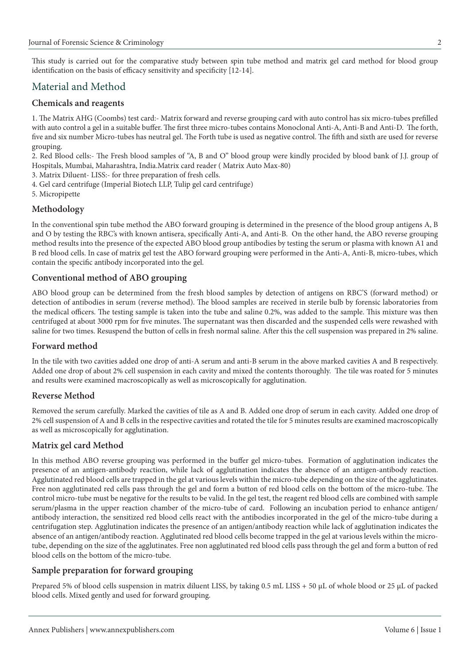This study is carried out for the comparative study between spin tube method and matrix gel card method for blood group identification on the basis of efficacy sensitivity and specificity [12-14].

## Material and Method

## **Chemicals and reagents**

1. The Matrix AHG (Coombs) test card:- Matrix forward and reverse grouping card with auto control has six micro-tubes prefilled with auto control a gel in a suitable buffer. The first three micro-tubes contains Monoclonal Anti-A, Anti-B and Anti-D. The forth, five and six number Micro-tubes has neutral gel. The Forth tube is used as negative control. The fifth and sixth are used for reverse grouping.

2. Red Blood cells:- The Fresh blood samples of "A, B and O" blood group were kindly procided by blood bank of J.J. group of Hospitals, Mumbai, Maharashtra, India.Matrix card reader ( Matrix Auto Max-80)

- 3. Matrix Diluent- LISS:- for three preparation of fresh cells.
- 4. Gel card centrifuge (Imperial Biotech LLP, Tulip gel card centrifuge)
- 5. Micropipette

## **Methodology**

In the conventional spin tube method the ABO forward grouping is determined in the presence of the blood group antigens A, B and O by testing the RBC's with known antisera, specifically Anti-A, and Anti-B. On the other hand, the ABO reverse grouping method results into the presence of the expected ABO blood group antibodies by testing the serum or plasma with known A1 and B red blood cells. In case of matrix gel test the ABO forward grouping were performed in the Anti-A, Anti-B, micro-tubes, which contain the specific antibody incorporated into the gel.

#### **Conventional method of ABO grouping**

ABO blood group can be determined from the fresh blood samples by detection of antigens on RBC'S (forward method) or detection of antibodies in serum (reverse method). The blood samples are received in sterile bulb by forensic laboratories from the medical officers. The testing sample is taken into the tube and saline 0.2%, was added to the sample. This mixture was then centrifuged at about 3000 rpm for five minutes. The supernatant was then discarded and the suspended cells were rewashed with saline for two times. Resuspend the button of cells in fresh normal saline. After this the cell suspension was prepared in 2% saline.

#### **Forward method**

In the tile with two cavities added one drop of anti-A serum and anti-B serum in the above marked cavities A and B respectively. Added one drop of about 2% cell suspension in each cavity and mixed the contents thoroughly. The tile was roated for 5 minutes and results were examined macroscopically as well as microscopically for agglutination.

#### **Reverse Method**

Removed the serum carefully. Marked the cavities of tile as A and B. Added one drop of serum in each cavity. Added one drop of 2% cell suspension of A and B cells in the respective cavities and rotated the tile for 5 minutes results are examined macroscopically as well as microscopically for agglutination.

#### **Matrix gel card Method**

In this method ABO reverse grouping was performed in the buffer gel micro-tubes. Formation of agglutination indicates the presence of an antigen-antibody reaction, while lack of agglutination indicates the absence of an antigen-antibody reaction. Agglutinated red blood cells are trapped in the gel at various levels within the micro-tube depending on the size of the agglutinates. Free non agglutinated red cells pass through the gel and form a button of red blood cells on the bottom of the micro-tube. The control micro-tube must be negative for the results to be valid. In the gel test, the reagent red blood cells are combined with sample serum/plasma in the upper reaction chamber of the micro-tube of card. Following an incubation period to enhance antigen/ antibody interaction, the sensitized red blood cells react with the antibodies incorporated in the gel of the micro-tube during a centrifugation step. Agglutination indicates the presence of an antigen/antibody reaction while lack of agglutination indicates the absence of an antigen/antibody reaction. Agglutinated red blood cells become trapped in the gel at various levels within the microtube, depending on the size of the agglutinates. Free non agglutinated red blood cells pass through the gel and form a button of red blood cells on the bottom of the micro-tube.

#### **Sample preparation for forward grouping**

Prepared 5% of blood cells suspension in matrix diluent LISS, by taking 0.5 mL LISS + 50 µL of whole blood or 25 µL of packed blood cells. Mixed gently and used for forward grouping.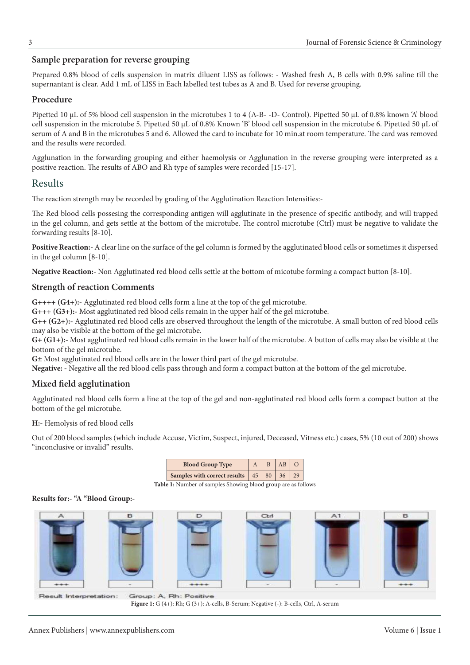## **Sample preparation for reverse grouping**

Prepared 0.8% blood of cells suspension in matrix diluent LISS as follows: - Washed fresh A, B cells with 0.9% saline till the supernantant is clear. Add 1 mL of LISS in Each labelled test tubes as A and B. Used for reverse grouping.

#### **Procedure**

Pipetted 10 µL of 5% blood cell suspension in the microtubes 1 to 4 (A-B- -D- Control). Pipetted 50 µL of 0.8% known 'A' blood cell suspension in the microtube 5. Pipetted 50 µL of 0.8% Known 'B' blood cell suspension in the microtube 6. Pipetted 50 µL of serum of A and B in the microtubes 5 and 6. Allowed the card to incubate for 10 min.at room temperature. The card was removed and the results were recorded.

Agglunation in the forwarding grouping and either haemolysis or Agglunation in the reverse grouping were interpreted as a positive reaction. The results of ABO and Rh type of samples were recorded [15-17].

## Results

The reaction strength may be recorded by grading of the Agglutination Reaction Intensities:-

The Red blood cells possesing the corresponding antigen will agglutinate in the presence of specific antibody, and will trapped in the gel column, and gets settle at the bottom of the microtube. The control microtube (Ctrl) must be negative to validate the forwarding results [8-10].

**Positive Reaction:-** A clear line on the surface of the gel column is formed by the agglutinated blood cells or sometimes it dispersed in the gel column [8-10].

**Negative Reaction:-** Non Agglutinated red blood cells settle at the bottom of micotube forming a compact button [8-10].

## **Strength of reaction Comments**

**G++++ (G4+):-** Agglutinated red blood cells form a line at the top of the gel microtube.

**G+++ (G3+):-** Most agglutinated red blood cells remain in the upper half of the gel microtube.

**G++ (G2+):-** Agglutinated red blood cells are observed throughout the length of the microtube. A small button of red blood cells may also be visible at the bottom of the gel microtube.

**G+ (G1+):-** Most agglutinated red blood cells remain in the lower half of the microtube. A button of cells may also be visible at the bottom of the gel microtube.

**G±** Most agglutinated red blood cells are in the lower third part of the gel microtube.

**Negative: -** Negative all the red blood cells pass through and form a compact button at the bottom of the gel microtube.

## **Mixed field agglutination**

Agglutinated red blood cells form a line at the top of the gel and non-agglutinated red blood cells form a compact button at the bottom of the gel microtube.

**H:-** Hemolysis of red blood cells

**Results for:- "A "Blood Group:-**

Out of 200 blood samples (which include Accuse, Victim, Suspect, injured, Deceased, Vitness etc.) cases, 5% (10 out of 200) shows "inconclusive or invalid" results.

**Blood Group Type**  $A \mid B \mid AB \mid O$ **Samples with correct results**  $\begin{array}{|c|c|c|c|} 45 & 80 & 36 & 29 \\ \end{array}$ 

**Table 1:** Number of samples Showing blood group are as follows

# $CH$ E D

Result Interpretation: Group: A. Rh: Positive

**Figure 1:** G (4+): Rh; G (3+): A-cells, B-Serum; Negative (-): B-cells, Ctrl, A-serum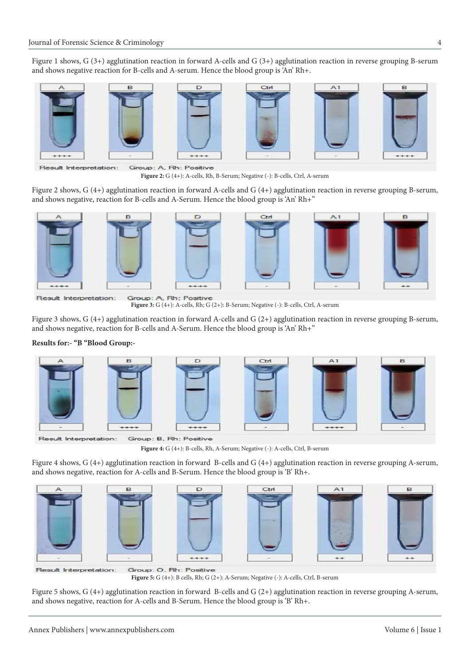Figure 1 shows, G (3+) agglutination reaction in forward A-cells and G (3+) agglutination reaction in reverse grouping B-serum and shows negative reaction for B-cells and A-serum. Hence the blood group is 'An' Rh+.



Group: A, Rh: Positive

**Figure 2:** G (4+): A-cells, Rh, B-Serum; Negative (-): B-cells, Ctrl, A-serum

Figure 2 shows, G (4+) agglutination reaction in forward A-cells and G (4+) agglutination reaction in reverse grouping B-serum, and shows negative, reaction for B-cells and A-Serum. Hence the blood group is 'An' Rh+"



Result Interpretation:

Group: A, Rh: Positive **Figure 3:** G (4+): A-cells, Rh; G (2+): B-Serum; Negative (-): B-cells, Ctrl, A-serum

Figure 3 shows, G (4+) agglutination reaction in forward A-cells and G (2+) agglutination reaction in reverse grouping B-serum, and shows negative, reaction for B-cells and A-Serum. Hence the blood group is 'An' Rh+"

#### **Results for:- "B "Blood Group:-**



Group: B. Rh: Positive Result Interpretation:

**Figure 4:** G (4+): B-cells, Rh, A-Serum; Negative (-): A-cells, Ctrl, B-serum

Figure 4 shows, G (4+) agglutination reaction in forward B-cells and G (4+) agglutination reaction in reverse grouping A-serum, and shows negative, reaction for A-cells and B-Serum. Hence the blood group is 'B' Rh+.

 $\Box$ 









Group: O. Rh: Positive Result Interpretation:

**Figure 5:** G (4+): B cells, Rh; G (2+): A-Serum; Negative (-): A-cells, Ctrl, B-serum

Figure 5 shows, G (4+) agglutination reaction in forward B-cells and G (2+) agglutination reaction in reverse grouping A-serum, and shows negative, reaction for A-cells and B-Serum. Hence the blood group is 'B' Rh+.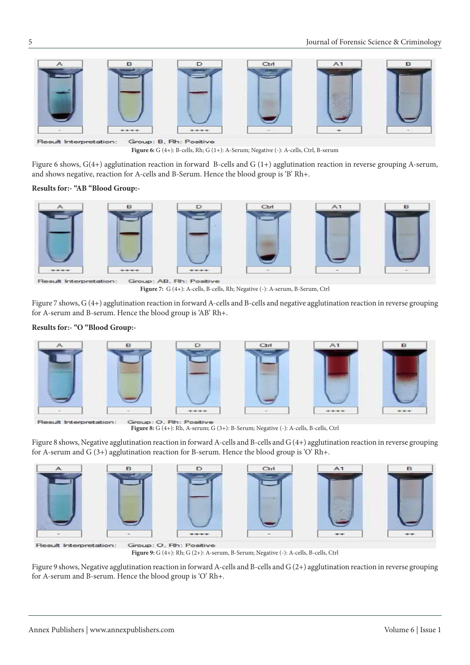

Group: B. Rh: Positive Result Interpretation: **Figure 6:** G (4+): B-cells, Rh; G (1+): A-Serum; Negative (-): A-cells, Ctrl, B-serum

Figure 6 shows, G(4+) agglutination reaction in forward B-cells and G (1+) agglutination reaction in reverse grouping A-serum, and shows negative, reaction for A-cells and B-Serum. Hence the blood group is 'B' Rh+.

#### **Results for:- "AB "Blood Group:-**



Result Interpretation: Group: AB, Rh: Positive

**Figure 7:** G (4+): A-cells, B-cells, Rh; Negative (-): A-serum, B-Serum, Ctrl

Figure 7 shows, G (4+) agglutination reaction in forward A-cells and B-cells and negative agglutination reaction in reverse grouping for A-serum and B-serum. Hence the blood group is 'AB' Rh+.

#### **Results for:- "O "Blood Group:-**



Result Interpretation:

**Figure 8:** G (4+): Rh, A-serum; G (3+): B-Serum; Negative (-): A-cells, B-cells, Ctrl

Figure 8 shows, Negative agglutination reaction in forward A-cells and B-cells and G (4+) agglutination reaction in reverse grouping for A-serum and  $G(3+)$  agglutination reaction for B-serum. Hence the blood group is 'O' Rh+.



**Figure 9:** G (4+): Rh; G (2+): A-serum, B-Serum; Negative (-): A-cells, B-cells, Ctrl

Figure 9 shows, Negative agglutination reaction in forward A-cells and B-cells and G (2+) agglutination reaction in reverse grouping for A-serum and B-serum. Hence the blood group is 'O' Rh+.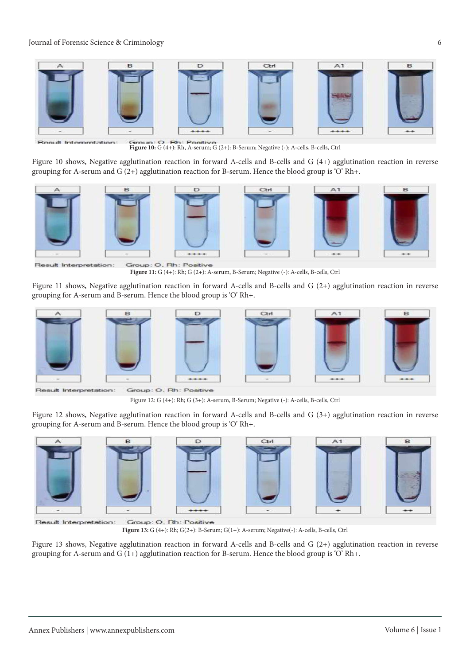

Result Interpretation:

Group: O. Rh: Positive **Figure 10:** G (4+): Rh, A-serum; G (2+): B-Serum; Negative (-): A-cells, B-cells, Ctrl

Figure 10 shows, Negative agglutination reaction in forward A-cells and B-cells and G (4+) agglutination reaction in reverse grouping for A-serum and G (2+) agglutination reaction for B-serum. Hence the blood group is 'O' Rh+.



Result Interpretation:

Group: O. Rh: Positive **Figure 11:** G (4+): Rh; G (2+): A-serum, B-Serum; Negative (-): A-cells, B-cells, Ctrl

Figure 11 shows, Negative agglutination reaction in forward A-cells and B-cells and G (2+) agglutination reaction in reverse grouping for A-serum and B-serum. Hence the blood group is 'O' Rh+.



Result Interpretation:

Group: O. Rh: Positive

Figure 12: G (4+): Rh; G (3+): A-serum, B-Serum; Negative (-): A-cells, B-cells, Ctrl

Figure 12 shows, Negative agglutination reaction in forward A-cells and B-cells and G (3+) agglutination reaction in reverse grouping for A-serum and B-serum. Hence the blood group is 'O' Rh+.











Group: O, Rh: Positive Result Interpretation:

**Figure 13:** G (4+): Rh; G(2+): B-Serum; G(1+): A-serum; Negative(-): A-cells, B-cells, Ctrl

Figure 13 shows, Negative agglutination reaction in forward A-cells and B-cells and G (2+) agglutination reaction in reverse grouping for A-serum and  $G(1+)$  agglutination reaction for B-serum. Hence the blood group is 'O' Rh+.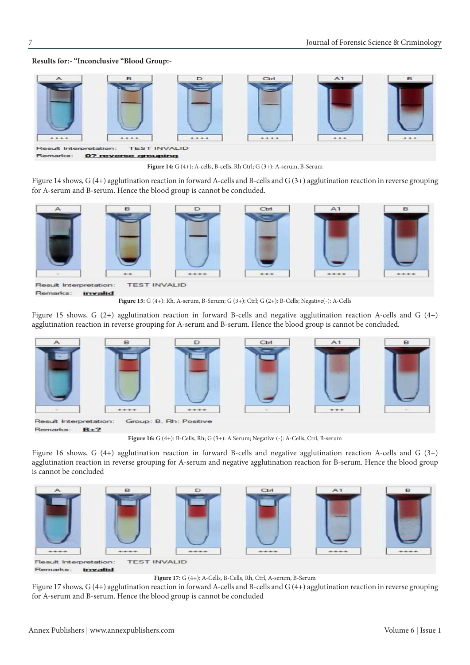#### **Results for:- "Inconclusive "Blood Group:-**



**Figure 14:** G (4+): A-cells, B-cells, Rh Ctrl; G (3+): A-serum, B-Serum

Figure 14 shows, G (4+) agglutination reaction in forward A-cells and B-cells and G (3+) agglutination reaction in reverse grouping for A-serum and B-serum. Hence the blood group is cannot be concluded.



Remarks: invalid

**Figure 15:** G (4+): Rh, A-serum, B-Serum; G (3+): Ctrl; G (2+): B-Cells; Negative(-): A-Cells

Figure 15 shows, G (2+) agglutination reaction in forward B-cells and negative agglutination reaction A-cells and G (4+) agglutination reaction in reverse grouping for A-serum and B-serum. Hence the blood group is cannot be concluded.



**Figure 16:** G (4+): B-Cells, Rh; G (3+): A Serum; Negative (-): A-Cells, Ctrl, B-serum

Figure 16 shows, G (4+) agglutination reaction in forward B-cells and negative agglutination reaction A-cells and G (3+) agglutination reaction in reverse grouping for A-serum and negative agglutination reaction for B-serum. Hence the blood group is cannot be concluded



Remarks: invalid

**Figure 17:** G (4+): A-Cells, B-Cells, Rh, Ctrl, A-serum, B-Serum

Figure 17 shows, G (4+) agglutination reaction in forward A-cells and B-cells and G (4+) agglutination reaction in reverse grouping for A-serum and B-serum. Hence the blood group is cannot be concluded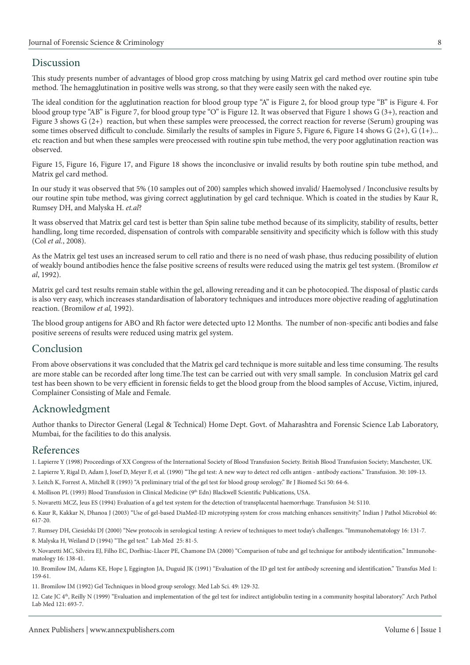## Discussion

This study presents number of advantages of blood grop cross matching by using Matrix gel card method over routine spin tube method. The hemagglutination in positive wells was strong, so that they were easily seen with the naked eye.

The ideal condition for the agglutination reaction for blood group type "A" is Figure 2, for blood group type "B" is Figure 4. For blood group type "AB" is Figure 7, for blood group type "O" is Figure 12. It was observed that Figure 1 shows G (3+), reaction and Figure 3 shows G (2+) reaction, but when these samples were preocessed, the correct reaction for reverse (Serum) grouping was some times observed difficult to conclude. Similarly the results of samples in Figure 5, Figure 6, Figure 14 shows  $G(2+)$ ,  $G(1+)$ ... etc reaction and but when these samples were preocessed with routine spin tube method, the very poor agglutination reaction was observed.

Figure 15, Figure 16, Figure 17, and Figure 18 shows the inconclusive or invalid results by both routine spin tube method, and Matrix gel card method.

In our study it was observed that 5% (10 samples out of 200) samples which showed invalid/ Haemolysed / Inconclusive results by our routine spin tube method, was giving correct agglutination by gel card technique. Which is coated in the studies by Kaur R, Rumsey DH, and Malyska H. *et.al*?

It wass observed that Matrix gel card test is better than Spin saline tube method because of its simplicity, stability of results, better handling, long time recorded, dispensation of controls with comparable sensitivity and specificity which is follow with this study (Col *et al.*, 2008).

As the Matrix gel test uses an increased serum to cell ratio and there is no need of wash phase, thus reducing possibility of elution of weakly bound antibodies hence the false positive screens of results were reduced using the matrix gel test system. (Bromilow *et al*, 1992).

Matrix gel card test results remain stable within the gel, allowing rereading and it can be photocopied. The disposal of plastic cards is also very easy, which increases standardisation of laboratory techniques and introduces more objective reading of agglutination reaction. (Bromilow *et al,* 1992).

The blood group antigens for ABO and Rh factor were detected upto 12 Months. The number of non-specific anti bodies and false positive sereens of results were reduced using matrix gel system.

## Conclusion

From above observations it was concluded that the Matrix gel card technique is more suitable and less time consuming. The results are more stable can be recorded after long time.The test can be carried out with very small sample. In conclusion Matrix gel card test has been shown to be very efficient in forensic fields to get the blood group from the blood samples of Accuse, Victim, injured, Complainer Consisting of Male and Female.

## Acknowledgment

Author thanks to Director General (Legal & Technical) Home Dept. Govt. of Maharashtra and Forensic Science Lab Laboratory, Mumbai, for the facilities to do this analysis.

## References

1. Lapierre Y (1998) Proceedings of XX Congress of the International Society of Blood Transfusion Society. British Blood Transfusion Society; Manchester, UK.

[2. Lapierre Y, Rigal D, Adam J, Josef D, Meyer F, et al. \(1990\) "The gel test: A new way to detect red cells antigen - antibody eactions." Transfusion. 30: 109-13.](https://www.ncbi.nlm.nih.gov/pubmed/2305438)

[3. Leitch K, Forrest A, Mitchell R \(1993\) "A preliminary trial of the gel test for blood group serology." Br J Biomed Sci 50: 64-6.](https://www.ncbi.nlm.nih.gov/pubmed/8032297)

[4. Mollison PL \(1993\) Blood Transfusion in Clinical Medicine \(9th Edn\) Blackwell Scientific Publications, USA.](https://www.abebooks.com/servlet/BookDetailsPL?bi=22480091856&searchurl=tn%3Dblood%2Btransfusion%2Bin%2Bclinical%2Bmedicine%26sortby%3D17%26an%3Dmollison%2Bp&cm_sp=snippet-_-srp1-_-title3)

[5. Novaretti MCZ, Jeus ES \(1994\) Evaluation of a gel test system for the detection of transplacental haemorrhage. Transfusion 34: S110.](https://bit.ly/2Pp0LkT)

[6. Kaur R, Kakkar N, Dhanoa J \(2003\) "Use of gel-based DiaMed-ID microtyping system for cross matching enhances sensitivity." Indian J Pathol Microbiol 46:](https://www.ncbi.nlm.nih.gov/pubmed/15025357)  617-20.

[7. Rumsey DH, Ciesielski DJ \(2000\) "New protocols in serological testing: A review of techniques to meet today's challenges. "Immunohematology 16: 131-7.](https://www.ncbi.nlm.nih.gov/pubmed/15373603)

[8. Malyska H, Weiland D \(1994\) "The gel test." Lab Med 25: 81-5.](https://academic.oup.com/labmed/article-abstract/25/2/81/2659118?redirectedFrom=PDF)

[9. Novaretti MC, Silveira EJ, Filho EC, Dorlhiac-Llacer PE, Chamone DA \(2000\) "Comparison of tube and gel technique for antibody identification." Immunohe](https://www.ncbi.nlm.nih.gov/pubmed/15373604)matology 16: 138-41.

[10. Bromilow IM, Adams KE, Hope J, Eggington JA, Duguid JK \(1991\) "Evaluation of the ID gel test for antibody screening and identification." Transfus Med 1:](https://www.ncbi.nlm.nih.gov/pubmed/9259842)  159-61.

[11. Bromilow IM \(1992\) Gel Techniques in blood group serology. Med Lab Sci. 49: 129-32.](https://www.ncbi.nlm.nih.gov/pubmed/1487976)

[12. Cate JC 4th, Reilly N \(1999\) "Evaluation and implementation of the gel test for indirect antiglobulin testing in a community hospital laboratory." Arch Pathol](https://www.ncbi.nlm.nih.gov/pubmed/10420225)  Lab Med 121: 693-7.